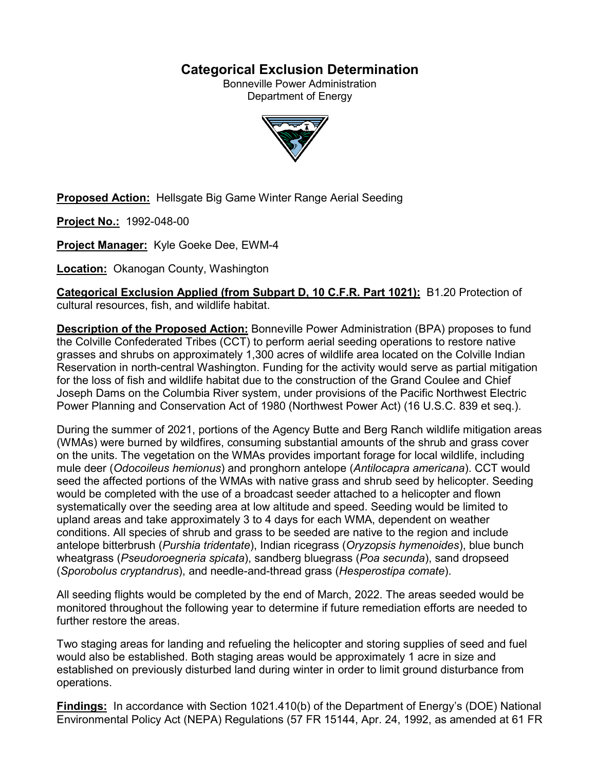## **Categorical Exclusion Determination**

Bonneville Power Administration Department of Energy



**Proposed Action:** Hellsgate Big Game Winter Range Aerial Seeding

**Project No.:** 1992-048-00

**Project Manager:** Kyle Goeke Dee, EWM-4

**Location:** Okanogan County, Washington

**Categorical Exclusion Applied (from Subpart D, 10 C.F.R. Part 1021):** B1.20 Protection of cultural resources, fish, and wildlife habitat.

**Description of the Proposed Action:** Bonneville Power Administration (BPA) proposes to fund the Colville Confederated Tribes (CCT) to perform aerial seeding operations to restore native grasses and shrubs on approximately 1,300 acres of wildlife area located on the Colville Indian Reservation in north-central Washington. Funding for the activity would serve as partial mitigation for the loss of fish and wildlife habitat due to the construction of the Grand Coulee and Chief Joseph Dams on the Columbia River system, under provisions of the Pacific Northwest Electric Power Planning and Conservation Act of 1980 (Northwest Power Act) (16 U.S.C. 839 et seq.).

During the summer of 2021, portions of the Agency Butte and Berg Ranch wildlife mitigation areas (WMAs) were burned by wildfires, consuming substantial amounts of the shrub and grass cover on the units. The vegetation on the WMAs provides important forage for local wildlife, including mule deer (*Odocoileus hemionus*) and pronghorn antelope (*Antilocapra americana*). CCT would seed the affected portions of the WMAs with native grass and shrub seed by helicopter. Seeding would be completed with the use of a broadcast seeder attached to a helicopter and flown systematically over the seeding area at low altitude and speed. Seeding would be limited to upland areas and take approximately 3 to 4 days for each WMA, dependent on weather conditions. All species of shrub and grass to be seeded are native to the region and include antelope bitterbrush (*Purshia tridentate*), Indian ricegrass (*Oryzopsis hymenoides*), blue bunch wheatgrass (*Pseudoroegneria spicata*), sandberg bluegrass (*Poa secunda*), sand dropseed (*Sporobolus cryptandrus*), and needle-and-thread grass (*Hesperostipa comate*).

All seeding flights would be completed by the end of March, 2022. The areas seeded would be monitored throughout the following year to determine if future remediation efforts are needed to further restore the areas.

Two staging areas for landing and refueling the helicopter and storing supplies of seed and fuel would also be established. Both staging areas would be approximately 1 acre in size and established on previously disturbed land during winter in order to limit ground disturbance from operations.

**Findings:** In accordance with Section 1021.410(b) of the Department of Energy's (DOE) National Environmental Policy Act (NEPA) Regulations (57 FR 15144, Apr. 24, 1992, as amended at 61 FR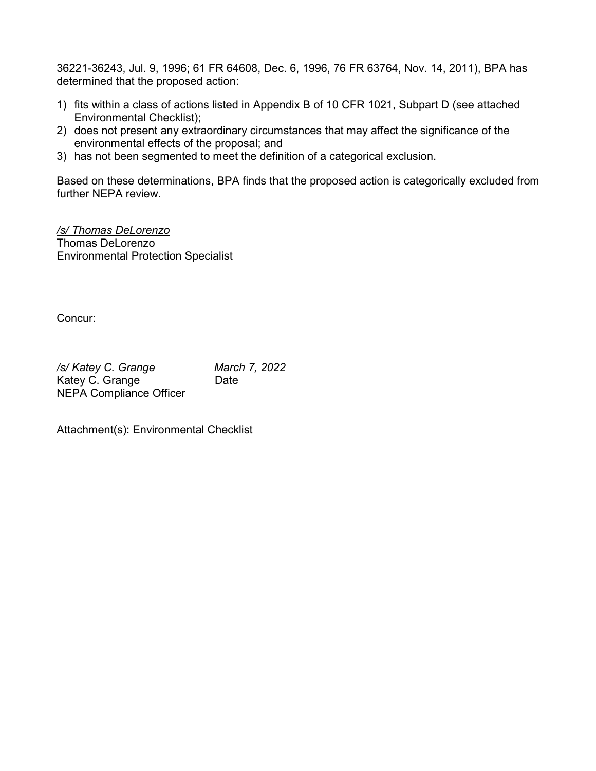36221-36243, Jul. 9, 1996; 61 FR 64608, Dec. 6, 1996, 76 FR 63764, Nov. 14, 2011), BPA has determined that the proposed action:

- 1) fits within a class of actions listed in Appendix B of 10 CFR 1021, Subpart D (see attached Environmental Checklist);
- 2) does not present any extraordinary circumstances that may affect the significance of the environmental effects of the proposal; and
- 3) has not been segmented to meet the definition of a categorical exclusion.

Based on these determinations, BPA finds that the proposed action is categorically excluded from further NEPA review.

*/s/ Thomas DeLorenzo* Thomas DeLorenzo Environmental Protection Specialist

Concur:

*/s/ Katey C. Grange March 7, 2022* Katey C. Grange Date NEPA Compliance Officer

Attachment(s): Environmental Checklist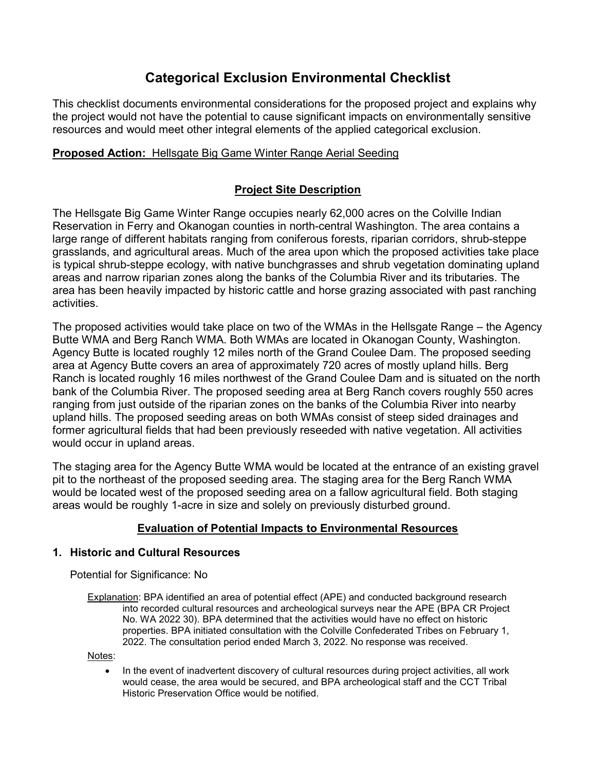# **Categorical Exclusion Environmental Checklist**

This checklist documents environmental considerations for the proposed project and explains why the project would not have the potential to cause significant impacts on environmentally sensitive resources and would meet other integral elements of the applied categorical exclusion.

## **Proposed Action:** Hellsgate Big Game Winter Range Aerial Seeding

## **Project Site Description**

The Hellsgate Big Game Winter Range occupies nearly 62,000 acres on the Colville Indian Reservation in Ferry and Okanogan counties in north-central Washington. The area contains a large range of different habitats ranging from coniferous forests, riparian corridors, shrub-steppe grasslands, and agricultural areas. Much of the area upon which the proposed activities take place is typical shrub-steppe ecology, with native bunchgrasses and shrub vegetation dominating upland areas and narrow riparian zones along the banks of the Columbia River and its tributaries. The area has been heavily impacted by historic cattle and horse grazing associated with past ranching activities.

The proposed activities would take place on two of the WMAs in the Hellsgate Range – the Agency Butte WMA and Berg Ranch WMA. Both WMAs are located in Okanogan County, Washington. Agency Butte is located roughly 12 miles north of the Grand Coulee Dam. The proposed seeding area at Agency Butte covers an area of approximately 720 acres of mostly upland hills. Berg Ranch is located roughly 16 miles northwest of the Grand Coulee Dam and is situated on the north bank of the Columbia River. The proposed seeding area at Berg Ranch covers roughly 550 acres ranging from just outside of the riparian zones on the banks of the Columbia River into nearby upland hills. The proposed seeding areas on both WMAs consist of steep sided drainages and former agricultural fields that had been previously reseeded with native vegetation. All activities would occur in upland areas.

The staging area for the Agency Butte WMA would be located at the entrance of an existing gravel pit to the northeast of the proposed seeding area. The staging area for the Berg Ranch WMA would be located west of the proposed seeding area on a fallow agricultural field. Both staging areas would be roughly 1-acre in size and solely on previously disturbed ground.

## **Evaluation of Potential Impacts to Environmental Resources**

#### **1. Historic and Cultural Resources**

Potential for Significance: No

Explanation: BPA identified an area of potential effect (APE) and conducted background research into recorded cultural resources and archeological surveys near the APE (BPA CR Project No. WA 2022 30). BPA determined that the activities would have no effect on historic properties. BPA initiated consultation with the Colville Confederated Tribes on February 1, 2022. The consultation period ended March 3, 2022. No response was received.

Notes:

• In the event of inadvertent discovery of cultural resources during project activities, all work would cease, the area would be secured, and BPA archeological staff and the CCT Tribal Historic Preservation Office would be notified.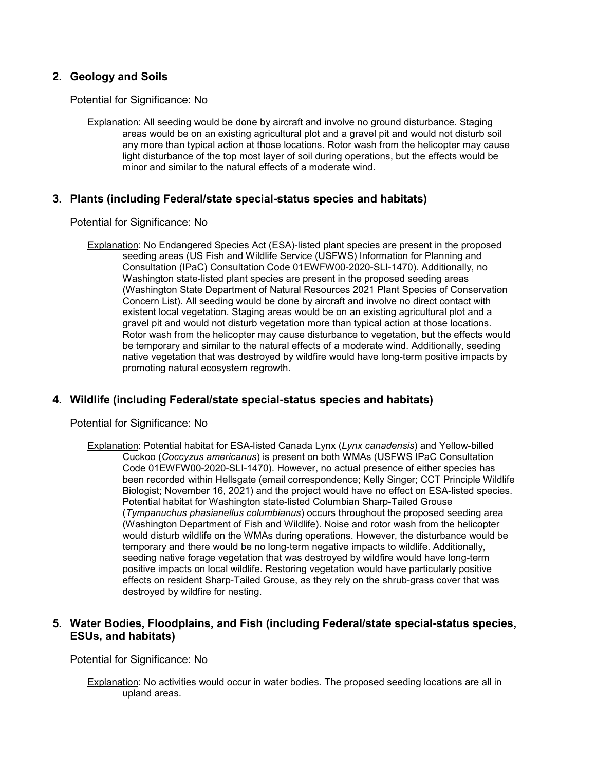#### **2. Geology and Soils**

Potential for Significance: No

Explanation: All seeding would be done by aircraft and involve no ground disturbance. Staging areas would be on an existing agricultural plot and a gravel pit and would not disturb soil any more than typical action at those locations. Rotor wash from the helicopter may cause light disturbance of the top most layer of soil during operations, but the effects would be minor and similar to the natural effects of a moderate wind.

#### **3. Plants (including Federal/state special-status species and habitats)**

Potential for Significance: No

Explanation: No Endangered Species Act (ESA)-listed plant species are present in the proposed seeding areas (US Fish and Wildlife Service (USFWS) Information for Planning and Consultation (IPaC) Consultation Code 01EWFW00-2020-SLI-1470). Additionally, no Washington state-listed plant species are present in the proposed seeding areas (Washington State Department of Natural Resources 2021 Plant Species of Conservation Concern List). All seeding would be done by aircraft and involve no direct contact with existent local vegetation. Staging areas would be on an existing agricultural plot and a gravel pit and would not disturb vegetation more than typical action at those locations. Rotor wash from the helicopter may cause disturbance to vegetation, but the effects would be temporary and similar to the natural effects of a moderate wind. Additionally, seeding native vegetation that was destroyed by wildfire would have long-term positive impacts by promoting natural ecosystem regrowth.

#### **4. Wildlife (including Federal/state special-status species and habitats)**

Potential for Significance: No

Explanation: Potential habitat for ESA-listed Canada Lynx (*Lynx canadensis*) and Yellow-billed Cuckoo (*Coccyzus americanus*) is present on both WMAs (USFWS IPaC Consultation Code 01EWFW00-2020-SLI-1470). However, no actual presence of either species has been recorded within Hellsgate (email correspondence; Kelly Singer; CCT Principle Wildlife Biologist; November 16, 2021) and the project would have no effect on ESA-listed species. Potential habitat for Washington state-listed Columbian Sharp-Tailed Grouse (*Tympanuchus phasianellus columbianus*) occurs throughout the proposed seeding area (Washington Department of Fish and Wildlife). Noise and rotor wash from the helicopter would disturb wildlife on the WMAs during operations. However, the disturbance would be temporary and there would be no long-term negative impacts to wildlife. Additionally, seeding native forage vegetation that was destroyed by wildfire would have long-term positive impacts on local wildlife. Restoring vegetation would have particularly positive effects on resident Sharp-Tailed Grouse, as they rely on the shrub-grass cover that was destroyed by wildfire for nesting.

#### **5. Water Bodies, Floodplains, and Fish (including Federal/state special-status species, ESUs, and habitats)**

Potential for Significance: No

Explanation: No activities would occur in water bodies. The proposed seeding locations are all in upland areas.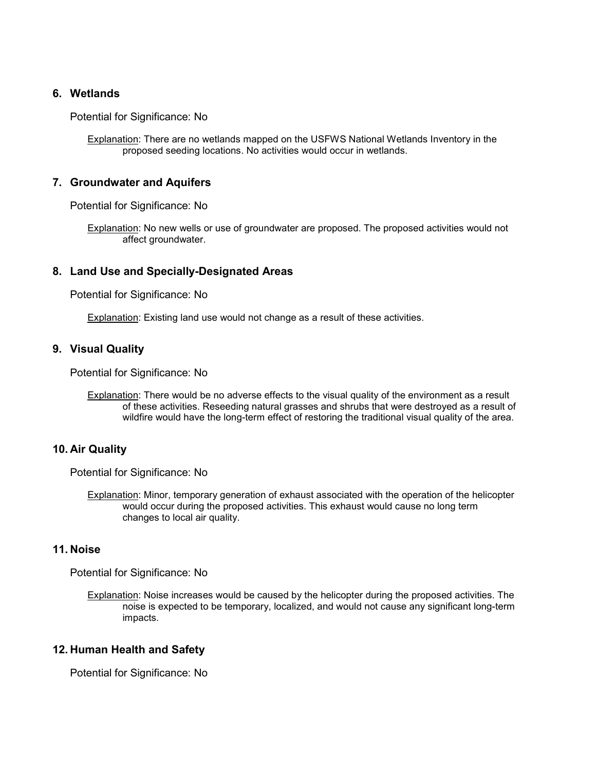#### **6. Wetlands**

Potential for Significance: No

Explanation: There are no wetlands mapped on the USFWS National Wetlands Inventory in the proposed seeding locations. No activities would occur in wetlands.

#### **7. Groundwater and Aquifers**

Potential for Significance: No

Explanation: No new wells or use of groundwater are proposed. The proposed activities would not affect groundwater.

#### **8. Land Use and Specially-Designated Areas**

Potential for Significance: No

Explanation: Existing land use would not change as a result of these activities.

#### **9. Visual Quality**

Potential for Significance: No

Explanation: There would be no adverse effects to the visual quality of the environment as a result of these activities. Reseeding natural grasses and shrubs that were destroyed as a result of wildfire would have the long-term effect of restoring the traditional visual quality of the area.

#### **10. Air Quality**

Potential for Significance: No

Explanation: Minor, temporary generation of exhaust associated with the operation of the helicopter would occur during the proposed activities. This exhaust would cause no long term changes to local air quality.

#### **11. Noise**

Potential for Significance: No

Explanation: Noise increases would be caused by the helicopter during the proposed activities. The noise is expected to be temporary, localized, and would not cause any significant long-term impacts.

#### **12. Human Health and Safety**

Potential for Significance: No